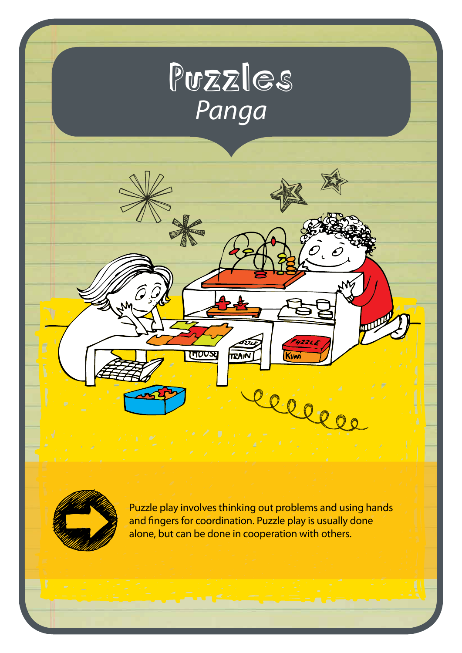



Ĝ

**HOUS** 

Puzzle play involves thinking out problems and using hands and fingers for coordination. Puzzle play is usually done alone, but can be done in cooperation with others.

 $\mathcal{O}_{\epsilon}$  é